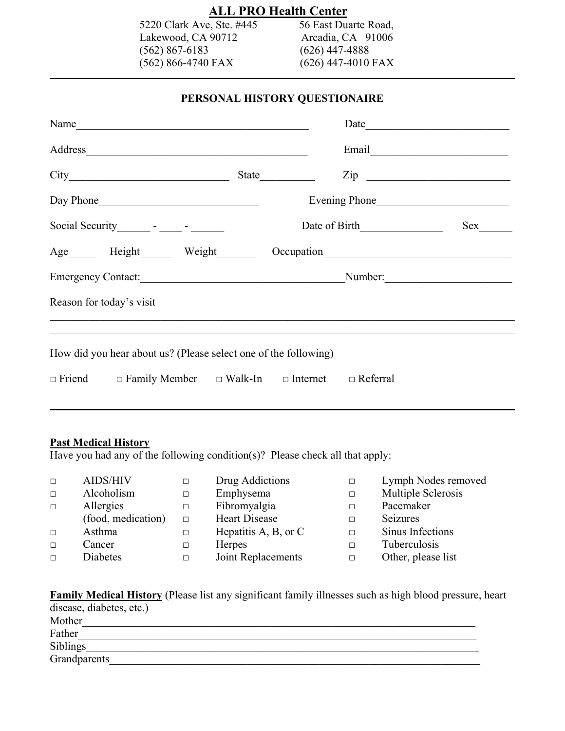## **ALL PRO Health Center**<br>e, Ste. #445 56 East Duarte Road,

5220 Clark Ave, Ste. #445 56 East Duarte Road,<br>Lakewood, CA 90712 Arcadia, CA 91006 Lakewood, CA 90712 (562) 867-6183 (626) 447-4888<br>(562) 866-4740 FAX (626) 447-4010 FAX  $(562) 866-4740$  FAX

 $\mathcal{L} = \{ \mathcal{L} \mid \mathcal{L} \}$ 

## **PERSONAL HISTORY QUESTIONAIRE**

| Name                                                                              |       |               |                |
|-----------------------------------------------------------------------------------|-------|---------------|----------------|
|                                                                                   |       |               | Email          |
|                                                                                   | State |               | $\mathsf{Zip}$ |
|                                                                                   |       |               |                |
| Social Security ________ - ______ - _______                                       |       | Date of Birth |                |
| Age Height Weight Occupation                                                      |       |               |                |
| Emergency Contact: Number: Number:                                                |       |               |                |
| Reason for today's visit                                                          |       |               |                |
|                                                                                   |       |               |                |
| How did you hear about us? (Please select one of the following)                   |       |               |                |
| $\Box$ Friend $\Box$ Family Member $\Box$ Walk-In $\Box$ Internet $\Box$ Referral |       |               |                |

## **Past Medical History**

Have you had any of the following condition(s)? Please check all that apply:

| $\Box$ | <b>AIDS/HIV</b>    |        | Drug Addictions              | $\Box$ | Lymph Nodes removed |
|--------|--------------------|--------|------------------------------|--------|---------------------|
| $\Box$ | Alcoholism         |        | Emphysema                    | $\Box$ | Multiple Sclerosis  |
| $\Box$ | Allergies          | $\Box$ | Fibromyalgia                 | □      | Pacemaker           |
|        | (food, medication) | $\Box$ | Heart Disease                | $\Box$ | <b>Seizures</b>     |
| $\Box$ | Asthma             | $\Box$ | Hepatitis $A$ , $B$ , or $C$ | $\Box$ | Sinus Infections    |
| $\Box$ | Cancer             |        | <b>Herpes</b>                | $\Box$ | Tuberculosis        |
| $\Box$ | Diabetes           |        | Joint Replacements           | П      | Other, please list  |

| <b>Family Medical History</b> (Please list any significant family illnesses such as high blood pressure, heart |  |
|----------------------------------------------------------------------------------------------------------------|--|
| disease, diabetes, etc.)                                                                                       |  |
| Mother                                                                                                         |  |
| Father                                                                                                         |  |
| <b>Siblings</b>                                                                                                |  |
| Grandparents                                                                                                   |  |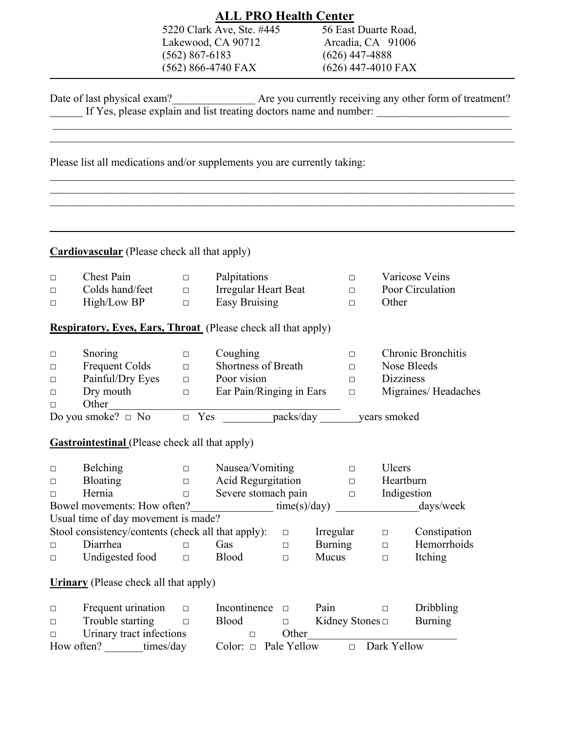|        |                                                                          |                    | <b>ALL PRO Health Center</b> |              |                      |        |                      |                                                                                               |
|--------|--------------------------------------------------------------------------|--------------------|------------------------------|--------------|----------------------|--------|----------------------|-----------------------------------------------------------------------------------------------|
|        |                                                                          |                    | 5220 Clark Ave, Ste. #445    |              | 56 East Duarte Road, |        |                      |                                                                                               |
|        |                                                                          |                    | Lakewood, CA 90712           |              |                      |        | Arcadia, CA 91006    |                                                                                               |
|        |                                                                          | $(562) 867 - 6183$ |                              |              | $(626)$ 447-4888     |        |                      |                                                                                               |
|        |                                                                          |                    | (562) 866-4740 FAX           |              |                      |        | $(626)$ 447-4010 FAX |                                                                                               |
|        |                                                                          |                    |                              |              |                      |        |                      |                                                                                               |
|        | Date of last physical exam?                                              |                    |                              |              |                      |        |                      | The state physical exam?<br>If Yes, please explain and list treating doctors name and number: |
|        |                                                                          |                    |                              |              |                      |        |                      |                                                                                               |
|        | Please list all medications and/or supplements you are currently taking: |                    |                              |              |                      |        |                      |                                                                                               |
|        |                                                                          |                    |                              |              |                      |        |                      |                                                                                               |
|        | <b>Cardiovascular</b> (Please check all that apply)                      |                    |                              |              |                      |        |                      |                                                                                               |
| $\Box$ | Chest Pain                                                               | $\Box$             | Palpitations                 |              |                      | $\Box$ |                      | Varicose Veins                                                                                |
| □      | Colds hand/feet                                                          | $\Box$             | <b>Irregular Heart Beat</b>  |              |                      | $\Box$ |                      | Poor Circulation                                                                              |
| □      | High/Low BP                                                              | $\Box$             | <b>Easy Bruising</b>         |              |                      | $\Box$ | Other                |                                                                                               |
|        | Respiratory, Eyes, Ears, Throat (Please check all that apply)            |                    |                              |              |                      |        |                      |                                                                                               |
| $\Box$ | Snoring                                                                  | $\Box$             | Coughing                     |              |                      | $\Box$ |                      | <b>Chronic Bronchitis</b>                                                                     |
| □      | <b>Frequent Colds</b>                                                    | $\Box$             | Shortness of Breath          |              |                      | $\Box$ | Nose Bleeds          |                                                                                               |
| □      | Painful/Dry Eyes                                                         | $\Box$             | Poor vision                  |              |                      | $\Box$ | <b>Dizziness</b>     |                                                                                               |
| □      | Dry mouth                                                                | $\Box$             | Ear Pain/Ringing in Ears     |              |                      | $\Box$ |                      | Migraines/Headaches                                                                           |
| П      | Other                                                                    |                    |                              |              |                      |        |                      |                                                                                               |
|        | Do you smoke? $\Box$ No                                                  | $\Box$ Yes         |                              | packs/day    |                      |        | years smoked         |                                                                                               |
|        | <b>Gastrointestinal</b> (Please check all that apply)                    |                    |                              |              |                      |        |                      |                                                                                               |
| □      | <b>Belching</b>                                                          | □                  | Nausea/Vomiting              |              | $\Box$               |        | Ulcers               |                                                                                               |
| □      | <b>Bloating</b>                                                          | □                  | <b>Acid Regurgitation</b>    |              |                      | $\Box$ | Heartburn            |                                                                                               |
| □      | Hernia                                                                   | $\Box$             | Severe stomach pain          |              |                      | $\Box$ | Indigestion          |                                                                                               |
|        | Bowel movements: How often?                                              |                    |                              | time(s)/day) |                      |        |                      | days/week                                                                                     |
|        | Usual time of day movement is made?                                      |                    |                              |              |                      |        |                      |                                                                                               |
|        | Stool consistency/contents (check all that apply):                       |                    |                              | $\Box$       | Irregular            |        | $\Box$               | Constipation                                                                                  |
| □      | Diarrhea                                                                 | $\Box$             | Gas                          | $\Box$       | <b>Burning</b>       |        | $\Box$               | Hemorrhoids                                                                                   |
| □      | Undigested food                                                          | $\Box$             | <b>Blood</b>                 | $\Box$       | Mucus                |        | $\Box$               | Itching                                                                                       |
|        |                                                                          |                    |                              |              |                      |        |                      |                                                                                               |
|        | <b>Urinary</b> (Please check all that apply)                             |                    |                              |              |                      |        |                      |                                                                                               |
| $\Box$ | Frequent urination                                                       | □                  | Incontinence                 | $\Box$       | Pain                 |        | $\Box$               | Dribbling                                                                                     |
| $\Box$ | Trouble starting                                                         | $\Box$             | <b>Blood</b>                 | $\Box$       | Kidney Stones $\Box$ |        |                      | <b>Burning</b>                                                                                |
| $\Box$ | Urinary tract infections                                                 |                    | $\Box$                       | Other        |                      |        |                      |                                                                                               |
|        | How often? times/day                                                     |                    | Color: $\Box$ Pale Yellow    |              |                      | $\Box$ | Dark Yellow          |                                                                                               |
|        |                                                                          |                    |                              |              |                      |        |                      |                                                                                               |